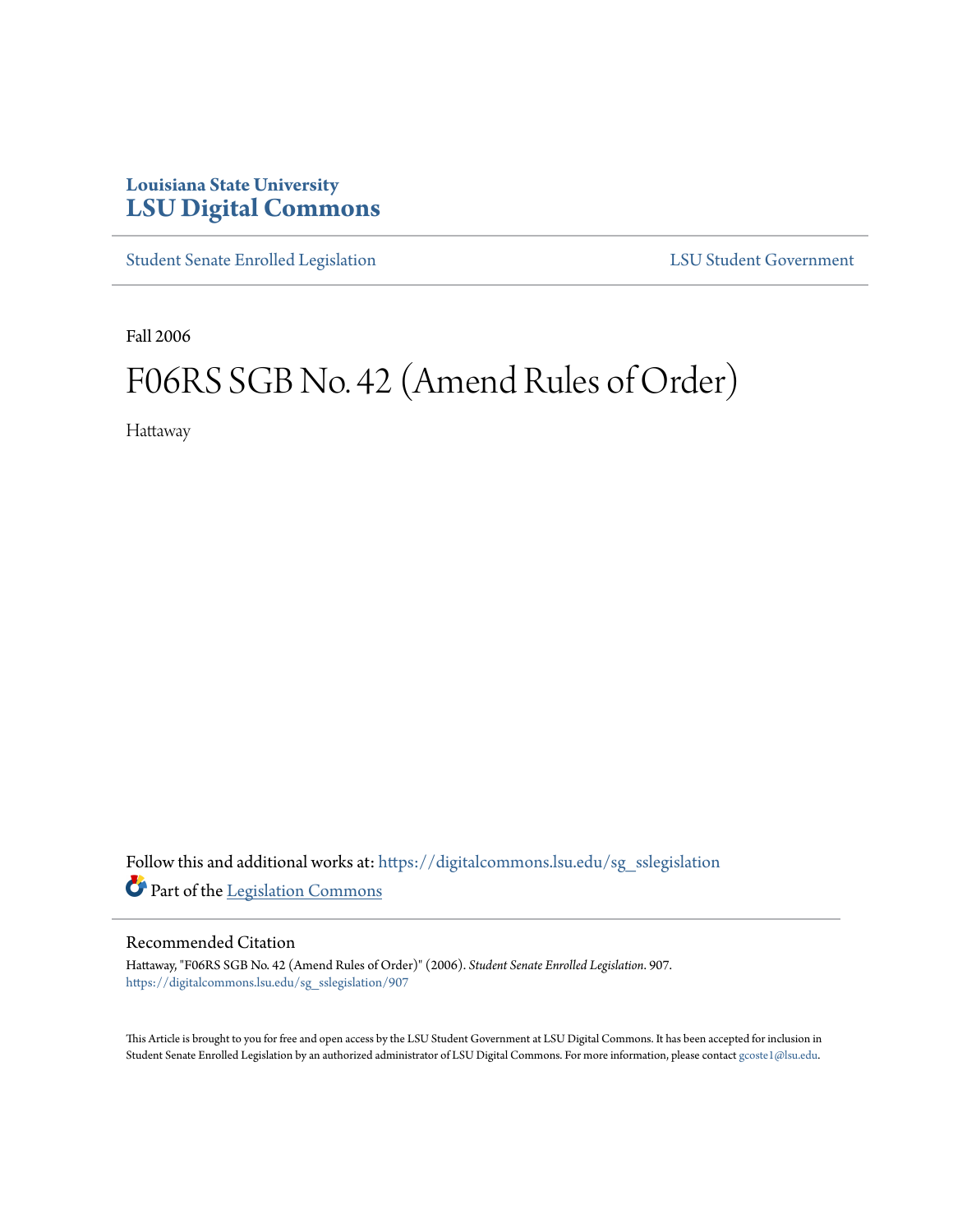## **Louisiana State University [LSU Digital Commons](https://digitalcommons.lsu.edu?utm_source=digitalcommons.lsu.edu%2Fsg_sslegislation%2F907&utm_medium=PDF&utm_campaign=PDFCoverPages)**

[Student Senate Enrolled Legislation](https://digitalcommons.lsu.edu/sg_sslegislation?utm_source=digitalcommons.lsu.edu%2Fsg_sslegislation%2F907&utm_medium=PDF&utm_campaign=PDFCoverPages) [LSU Student Government](https://digitalcommons.lsu.edu/sg?utm_source=digitalcommons.lsu.edu%2Fsg_sslegislation%2F907&utm_medium=PDF&utm_campaign=PDFCoverPages)

Fall 2006

## F06RS SGB No. 42 (Amend Rules of Order)

Hattaway

Follow this and additional works at: [https://digitalcommons.lsu.edu/sg\\_sslegislation](https://digitalcommons.lsu.edu/sg_sslegislation?utm_source=digitalcommons.lsu.edu%2Fsg_sslegislation%2F907&utm_medium=PDF&utm_campaign=PDFCoverPages) Part of the [Legislation Commons](http://network.bepress.com/hgg/discipline/859?utm_source=digitalcommons.lsu.edu%2Fsg_sslegislation%2F907&utm_medium=PDF&utm_campaign=PDFCoverPages)

## Recommended Citation

Hattaway, "F06RS SGB No. 42 (Amend Rules of Order)" (2006). *Student Senate Enrolled Legislation*. 907. [https://digitalcommons.lsu.edu/sg\\_sslegislation/907](https://digitalcommons.lsu.edu/sg_sslegislation/907?utm_source=digitalcommons.lsu.edu%2Fsg_sslegislation%2F907&utm_medium=PDF&utm_campaign=PDFCoverPages)

This Article is brought to you for free and open access by the LSU Student Government at LSU Digital Commons. It has been accepted for inclusion in Student Senate Enrolled Legislation by an authorized administrator of LSU Digital Commons. For more information, please contact [gcoste1@lsu.edu.](mailto:gcoste1@lsu.edu)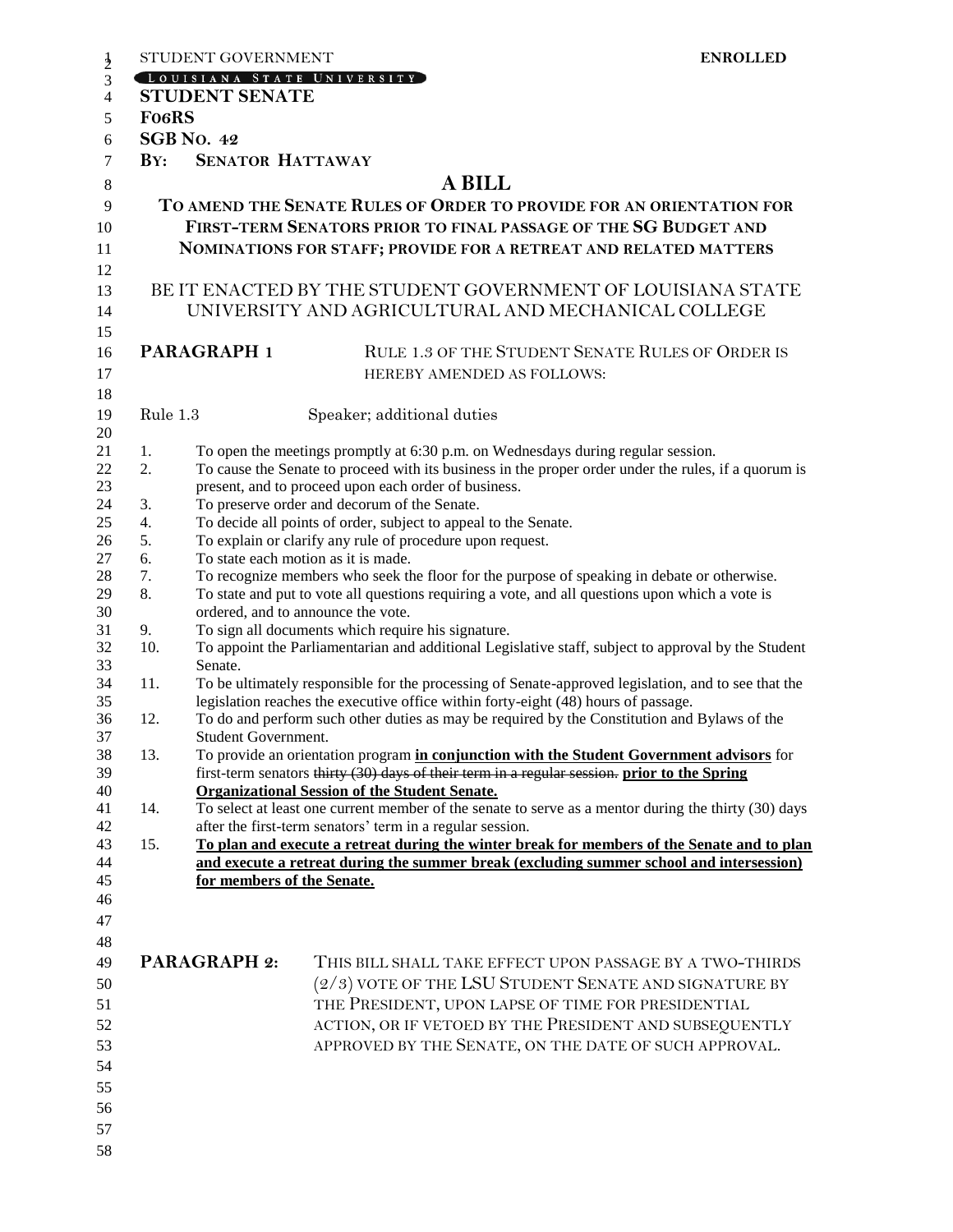|                            | STUDENT GOVERNMENT                                                                           |                                                                                                     | <b>ENROLLED</b>                                                                                      |  |
|----------------------------|----------------------------------------------------------------------------------------------|-----------------------------------------------------------------------------------------------------|------------------------------------------------------------------------------------------------------|--|
|                            | LOUISIANA STATE UNIVERSITY                                                                   |                                                                                                     |                                                                                                      |  |
|                            | <b>STUDENT SENATE</b>                                                                        |                                                                                                     |                                                                                                      |  |
|                            | <b>FO6RS</b>                                                                                 |                                                                                                     |                                                                                                      |  |
|                            | <b>SGB No. 42</b>                                                                            |                                                                                                     |                                                                                                      |  |
| $\mathbf{B} \mathbf{Y}$ :  | <b>SENATOR HATTAWAY</b>                                                                      |                                                                                                     |                                                                                                      |  |
|                            |                                                                                              |                                                                                                     | <b>A BILL</b>                                                                                        |  |
|                            |                                                                                              |                                                                                                     | TO AMEND THE SENATE RULES OF ORDER TO PROVIDE FOR AN ORIENTATION FOR                                 |  |
|                            |                                                                                              |                                                                                                     | FIRST-TERM SENATORS PRIOR TO FINAL PASSAGE OF THE SG BUDGET AND                                      |  |
|                            |                                                                                              |                                                                                                     | <b>NOMINATIONS FOR STAFF; PROVIDE FOR A RETREAT AND RELATED MATTERS</b>                              |  |
|                            |                                                                                              |                                                                                                     |                                                                                                      |  |
|                            |                                                                                              |                                                                                                     | BE IT ENACTED BY THE STUDENT GOVERNMENT OF LOUISIANA STATE                                           |  |
|                            |                                                                                              |                                                                                                     | UNIVERSITY AND AGRICULTURAL AND MECHANICAL COLLEGE                                                   |  |
|                            |                                                                                              |                                                                                                     |                                                                                                      |  |
|                            | PARAGRAPH 1                                                                                  |                                                                                                     | RULE 1.3 OF THE STUDENT SENATE RULES OF ORDER IS                                                     |  |
|                            |                                                                                              |                                                                                                     |                                                                                                      |  |
|                            |                                                                                              |                                                                                                     | HEREBY AMENDED AS FOLLOWS:                                                                           |  |
|                            |                                                                                              |                                                                                                     |                                                                                                      |  |
|                            | Rule 1.3                                                                                     | Speaker; additional duties                                                                          |                                                                                                      |  |
| 1.                         |                                                                                              |                                                                                                     | To open the meetings promptly at 6:30 p.m. on Wednesdays during regular session.                     |  |
| 2.                         |                                                                                              |                                                                                                     | To cause the Senate to proceed with its business in the proper order under the rules, if a quorum is |  |
|                            |                                                                                              | present, and to proceed upon each order of business.                                                |                                                                                                      |  |
| 3.                         |                                                                                              | To preserve order and decorum of the Senate.                                                        |                                                                                                      |  |
| 4.                         |                                                                                              | To decide all points of order, subject to appeal to the Senate.                                     |                                                                                                      |  |
| 5.                         |                                                                                              | To explain or clarify any rule of procedure upon request.                                           |                                                                                                      |  |
| 6.                         |                                                                                              | To state each motion as it is made.                                                                 |                                                                                                      |  |
| 7.                         |                                                                                              | To recognize members who seek the floor for the purpose of speaking in debate or otherwise.         |                                                                                                      |  |
| 8.                         |                                                                                              |                                                                                                     | To state and put to vote all questions requiring a vote, and all questions upon which a vote is      |  |
| 9.                         |                                                                                              | ordered, and to announce the vote.<br>To sign all documents which require his signature.            |                                                                                                      |  |
| 10.                        |                                                                                              | To appoint the Parliamentarian and additional Legislative staff, subject to approval by the Student |                                                                                                      |  |
|                            | Senate.                                                                                      |                                                                                                     |                                                                                                      |  |
| 11.                        |                                                                                              | To be ultimately responsible for the processing of Senate-approved legislation, and to see that the |                                                                                                      |  |
|                            |                                                                                              |                                                                                                     | legislation reaches the executive office within forty-eight (48) hours of passage.                   |  |
| 12.                        | To do and perform such other duties as may be required by the Constitution and Bylaws of the |                                                                                                     |                                                                                                      |  |
|                            | Student Government.                                                                          |                                                                                                     |                                                                                                      |  |
| 13.                        |                                                                                              |                                                                                                     | To provide an orientation program in conjunction with the Student Government advisors for            |  |
|                            |                                                                                              | <b>Organizational Session of the Student Senate.</b>                                                | first-term senators thirty (30) days of their term in a regular session, prior to the Spring         |  |
| 14.                        |                                                                                              |                                                                                                     | To select at least one current member of the senate to serve as a mentor during the thirty (30) days |  |
|                            |                                                                                              | after the first-term senators' term in a regular session.                                           |                                                                                                      |  |
| 15.                        |                                                                                              |                                                                                                     | To plan and execute a retreat during the winter break for members of the Senate and to plan          |  |
| for members of the Senate. |                                                                                              |                                                                                                     | and execute a retreat during the summer break (excluding summer school and intersession)             |  |
|                            |                                                                                              |                                                                                                     |                                                                                                      |  |
|                            |                                                                                              |                                                                                                     |                                                                                                      |  |
|                            |                                                                                              |                                                                                                     |                                                                                                      |  |
|                            |                                                                                              |                                                                                                     |                                                                                                      |  |
|                            | <b>PARAGRAPH 2:</b>                                                                          |                                                                                                     | THIS BILL SHALL TAKE EFFECT UPON PASSAGE BY A TWO-THIRDS                                             |  |
|                            |                                                                                              |                                                                                                     | (2/3) VOTE OF THE LSU STUDENT SENATE AND SIGNATURE BY                                                |  |
|                            |                                                                                              |                                                                                                     | THE PRESIDENT, UPON LAPSE OF TIME FOR PRESIDENTIAL                                                   |  |
|                            |                                                                                              |                                                                                                     | ACTION, OR IF VETOED BY THE PRESIDENT AND SUBSEQUENTLY                                               |  |
|                            |                                                                                              |                                                                                                     | APPROVED BY THE SENATE, ON THE DATE OF SUCH APPROVAL.                                                |  |
|                            |                                                                                              |                                                                                                     |                                                                                                      |  |
|                            |                                                                                              |                                                                                                     |                                                                                                      |  |
|                            |                                                                                              |                                                                                                     |                                                                                                      |  |
|                            |                                                                                              |                                                                                                     |                                                                                                      |  |
|                            |                                                                                              |                                                                                                     |                                                                                                      |  |
|                            |                                                                                              |                                                                                                     |                                                                                                      |  |